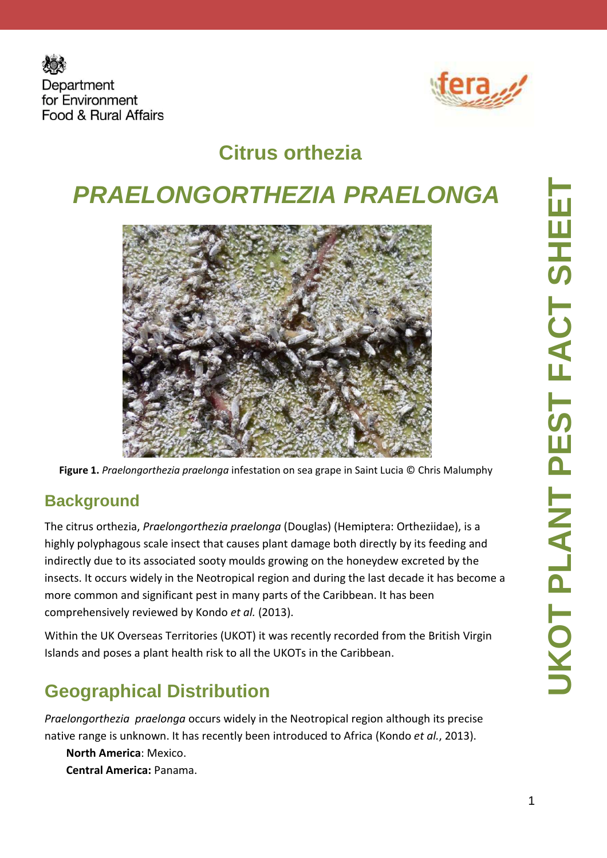



# **Citrus orthezia**

# **PRAELONGORTHEZIA PRAELONGA**



**Figure 1.** *Praelongorthezia praelonga* infestation on sea grape in Saint Lucia © Chris Malumphy

#### **Background**

The citrus orthezia, *Praelongorthezia praelonga* (Douglas) (Hemiptera: Ortheziidae), is a highly polyphagous scale insect that causes plant damage both directly by its feeding and indirectly due to its associated sooty moulds growing on the honeydew excreted by the insects. It occurs widely in the Neotropical region and during the last decade it has become a more common and significant pest in many parts of the Caribbean. It has been comprehensively reviewed by Kondo *et al.* (2013).

Within the UK Overseas Territories (UKOT) it was recently recorded from the British Virgin Islands and poses a plant health risk to all the UKOTs in the Caribbean.

### **Geographical Distribution**

*Praelongorthezia praelonga* occurs widely in the Neotropical region although its precise native range is unknown. It has recently been introduced to Africa (Kondo *et al.*, 2013).

**North America**: Mexico. **Central America:** Panama.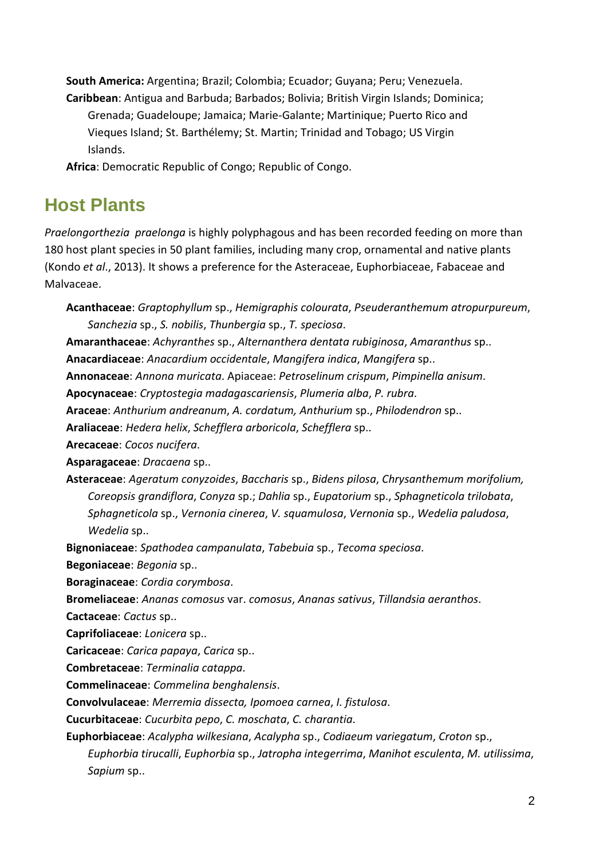**South America:** Argentina; Brazil; Colombia; Ecuador; Guyana; Peru; Venezuela. **Caribbean**: Antigua and Barbuda; Barbados; Bolivia; British Virgin Islands; Dominica; Grenada; Guadeloupe; Jamaica; Marie-Galante; Martinique; Puerto Rico and Vieques Island; St. Barthélemy; St. Martin; Trinidad and Tobago; US Virgin Islands.

**Africa**: Democratic Republic of Congo; Republic of Congo.

#### **Host Plants**

*Praelongorthezia praelonga* is highly polyphagous and has been recorded feeding on more than 180 host plant species in 50 plant families, including many crop, ornamental and native plants (Kondo *et al*., 2013). It shows a preference for the Asteraceae, Euphorbiaceae, Fabaceae and Malvaceae.

**Acanthaceae**: *Graptophyllum* sp., *Hemigraphis colourata*, *Pseuderanthemum atropurpureum*, *Sanchezia* sp., *S. nobilis*, *Thunbergia* sp., *T. speciosa*. **Amaranthaceae**: *Achyranthes* sp., *Alternanthera dentata rubiginosa*, *Amaranthus* sp.. **Anacardiaceae**: *Anacardium occidentale*, *Mangifera indica*, *Mangifera* sp.. **Annonaceae**: *Annona muricata*. Apiaceae: *Petroselinum crispum*, *Pimpinella anisum*. **Apocynaceae**: *Cryptostegia madagascariensis*, *Plumeria alba*, *P. rubra*. **Araceae**: *Anthurium andreanum*, *A. cordatum, Anthurium* sp., *Philodendron* sp.. **Araliaceae**: *Hedera helix*, *Schefflera arboricola*, *Schefflera* sp.. **Arecaceae**: *Cocos nucifera*. **Asparagaceae**: *Dracaena* sp.. **Asteraceae**: *Ageratum conyzoides*, *Baccharis* sp., *Bidens pilosa*, *Chrysanthemum morifolium, Coreopsis grandiflora*, *Conyza* sp.; *Dahlia* sp., *Eupatorium* sp., *Sphagneticola trilobata*, *Sphagneticola* sp., *Vernonia cinerea*, *V. squamulosa*, *Vernonia* sp., *Wedelia paludosa*, *Wedelia* sp.. **Bignoniaceae**: *Spathodea campanulata*, *Tabebuia* sp., *Tecoma speciosa*. **Begoniaceae**: *Begonia* sp.. **Boraginaceae**: *Cordia corymbosa*. **Bromeliaceae**: *Ananas comosus* var. *comosus*, *Ananas sativus*, *Tillandsia aeranthos*. **Cactaceae**: *Cactus* sp.. **Caprifoliaceae**: *Lonicera* sp.. **Caricaceae**: *Carica papaya*, *Carica* sp.. **Combretaceae**: *Terminalia catappa*. **Commelinaceae**: *Commelina benghalensis*. **Convolvulaceae**: *Merremia dissecta, Ipomoea carnea*, *I. fistulosa*. **Cucurbitaceae**: *Cucurbita pepo*, *C. moschata*, *C. charantia*. **Euphorbiaceae**: *Acalypha wilkesiana*, *Acalypha* sp., *Codiaeum variegatum*, *Croton* sp., *Euphorbia tirucalli*, *Euphorbia* sp., *Jatropha integerrima*, *Manihot esculenta*, *M. utilissima*, *Sapium* sp..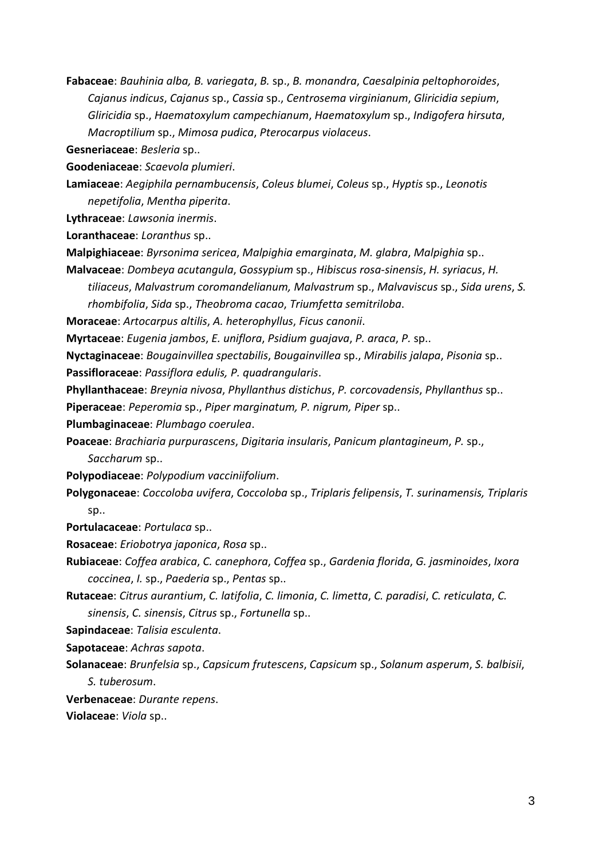**Fabaceae**: *Bauhinia alba, B. variegata*, *B.* sp., *B. monandra*, *Caesalpinia peltophoroides*, *Cajanus indicus*, *Cajanus* sp., *Cassia* sp., *Centrosema virginianum*, *Gliricidia sepium*, *Gliricidia* sp., *Haematoxylum campechianum*, *Haematoxylum* sp., *Indigofera hirsuta*, *Macroptilium* sp., *Mimosa pudica*, *Pterocarpus violaceus*.

**Gesneriaceae**: *Besleria* sp..

**Goodeniaceae**: *Scaevola plumieri*.

**Lamiaceae**: *Aegiphila pernambucensis*, *Coleus blumei*, *Coleus* sp., *Hyptis* sp., *Leonotis nepetifolia*, *Mentha piperita*.

**Lythraceae**: *Lawsonia inermis*.

**Loranthaceae**: *Loranthus* sp..

- **Malpighiaceae**: *Byrsonima sericea*, *Malpighia emarginata*, *M. glabra*, *Malpighia* sp..
- **Malvaceae**: *Dombeya acutangula*, *Gossypium* sp., *Hibiscus rosa-sinensis*, *H. syriacus*, *H.* 
	- *tiliaceus*, *Malvastrum coromandelianum, Malvastrum* sp., *Malvaviscus* sp., *Sida urens*, *S. rhombifolia*, *Sida* sp., *Theobroma cacao*, *Triumfetta semitriloba*.

**Moraceae**: *Artocarpus altilis*, *A. heterophyllus*, *Ficus canonii*.

**Myrtaceae**: *Eugenia jambos*, *E. uniflora*, *Psidium guajava*, *P. araca*, *P.* sp..

**Nyctaginaceae**: *Bougainvillea spectabilis*, *Bougainvillea* sp., *Mirabilis jalapa*, *Pisonia* sp..

- **Passifloraceae**: *Passiflora edulis, P. quadrangularis*.
- **Phyllanthaceae**: *Breynia nivosa*, *Phyllanthus distichus*, *P. corcovadensis*, *Phyllanthus* sp..

**Piperaceae**: *Peperomia* sp., *Piper marginatum, P. nigrum, Piper* sp..

**Plumbaginaceae**: *Plumbago coerulea*.

**Poaceae**: *Brachiaria purpurascens*, *Digitaria insularis*, *Panicum plantagineum*, *P.* sp., *Saccharum* sp..

**Polypodiaceae**: *Polypodium vacciniifolium*.

**Polygonaceae**: *Coccoloba uvifera*, *Coccoloba* sp., *Triplaris felipensis*, *T. surinamensis, Triplaris*  sp..

**Portulacaceae**: *Portulaca* sp..

**Rosaceae**: *Eriobotrya japonica*, *Rosa* sp..

**Rubiaceae**: *Coffea arabica*, *C. canephora*, *Coffea* sp., *Gardenia florida*, *G. jasminoides*, *Ixora coccinea*, *I.* sp., *Paederia* sp., *Pentas* sp..

**Rutaceae**: *Citrus aurantium*, *C. latifolia*, *C. limonia*, *C. limetta*, *C. paradisi*, *C. reticulata*, *C. sinensis*, *C. sinensis*, *Citrus* sp., *Fortunella* sp..

**Sapindaceae**: *Talisia esculenta*.

**Sapotaceae**: *Achras sapota*.

**Solanaceae**: *Brunfelsia* sp., *Capsicum frutescens*, *Capsicum* sp., *Solanum asperum*, *S. balbisii*, *S. tuberosum*.

**Verbenaceae**: *Durante repens*.

**Violaceae**: *Viola* sp..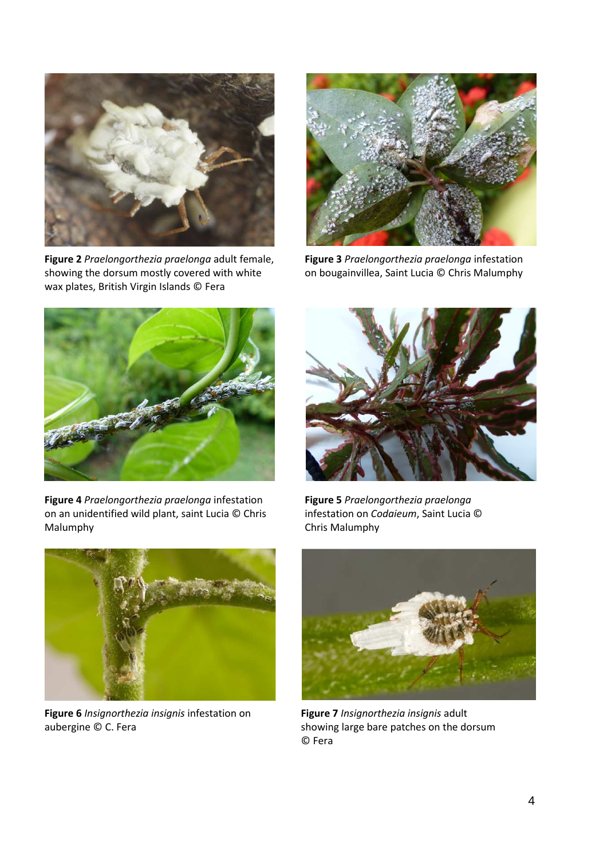

**Figure 2** *Praelongorthezia praelonga* adult female, showing the dorsum mostly covered with white wax plates, British Virgin Islands © Fera



**Figure 3** *Praelongorthezia praelonga* infestation on bougainvillea, Saint Lucia © Chris Malumphy



**Figure 4** *Praelongorthezia praelonga* infestation on an unidentified wild plant, saint Lucia © Chris Malumphy



**Figure 5** *Praelongorthezia praelonga* infestation on *Codaieum*, Saint Lucia © Chris Malumphy



**Figure 6** *Insignorthezia insignis* infestation on aubergine © C. Fera



**Figure 7** *Insignorthezia insignis* adult showing large bare patches on the dorsum © Fera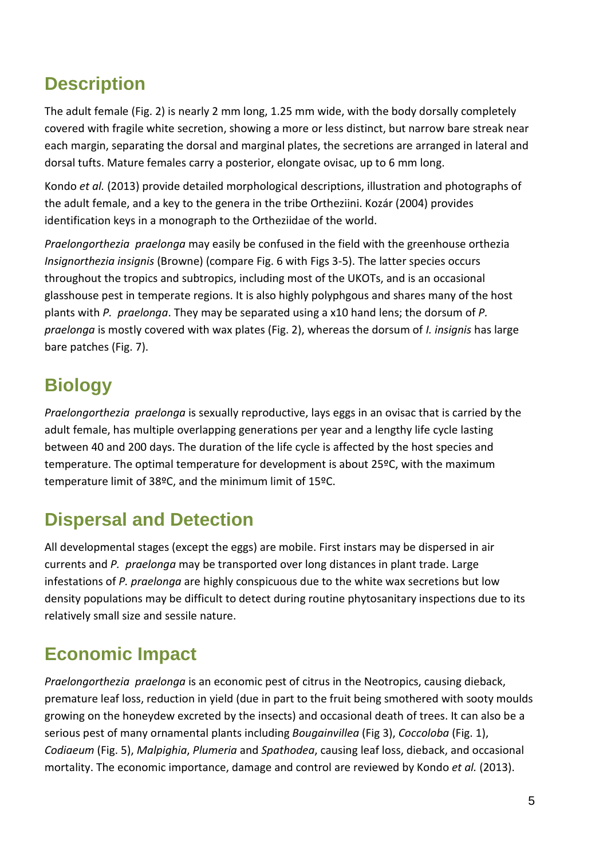### **Description**

The adult female (Fig. 2) is nearly 2 mm long, 1.25 mm wide, with the body dorsally completely covered with fragile white secretion, showing a more or less distinct, but narrow bare streak near each margin, separating the dorsal and marginal plates, the secretions are arranged in lateral and dorsal tufts. Mature females carry a posterior, elongate ovisac, up to 6 mm long.

Kondo *et al.* (2013) provide detailed morphological descriptions, illustration and photographs of the adult female, and a key to the genera in the tribe Ortheziini. Kozár (2004) provides identification keys in a monograph to the Ortheziidae of the world.

*Praelongorthezia praelonga* may easily be confused in the field with the greenhouse orthezia *Insignorthezia insignis* (Browne) (compare Fig. 6 with Figs 3-5). The latter species occurs throughout the tropics and subtropics, including most of the UKOTs, and is an occasional glasshouse pest in temperate regions. It is also highly polyphgous and shares many of the host plants with *P. praelonga*. They may be separated using a x10 hand lens; the dorsum of *P. praelonga* is mostly covered with wax plates (Fig. 2), whereas the dorsum of *I. insignis* has large bare patches (Fig. 7).

# **Biology**

*Praelongorthezia praelonga* is sexually reproductive, lays eggs in an ovisac that is carried by the adult female, has multiple overlapping generations per year and a lengthy life cycle lasting between 40 and 200 days. The duration of the life cycle is affected by the host species and temperature. The optimal temperature for development is about 25ºC, with the maximum temperature limit of 38ºC, and the minimum limit of 15ºC.

### **Dispersal and Detection**

All developmental stages (except the eggs) are mobile. First instars may be dispersed in air currents and *P. praelonga* may be transported over long distances in plant trade. Large infestations of *P. praelonga* are highly conspicuous due to the white wax secretions but low density populations may be difficult to detect during routine phytosanitary inspections due to its relatively small size and sessile nature.

## **Economic Impact**

*Praelongorthezia praelonga* is an economic pest of citrus in the Neotropics, causing dieback, premature leaf loss, reduction in yield (due in part to the fruit being smothered with sooty moulds growing on the honeydew excreted by the insects) and occasional death of trees. It can also be a serious pest of many ornamental plants including *Bougainvillea* (Fig 3), *Coccoloba* (Fig. 1), *Codiaeum* (Fig. 5), *Malpighia*, *Plumeria* and *Spathodea*, causing leaf loss, dieback, and occasional mortality. The economic importance, damage and control are reviewed by Kondo *et al.* (2013).